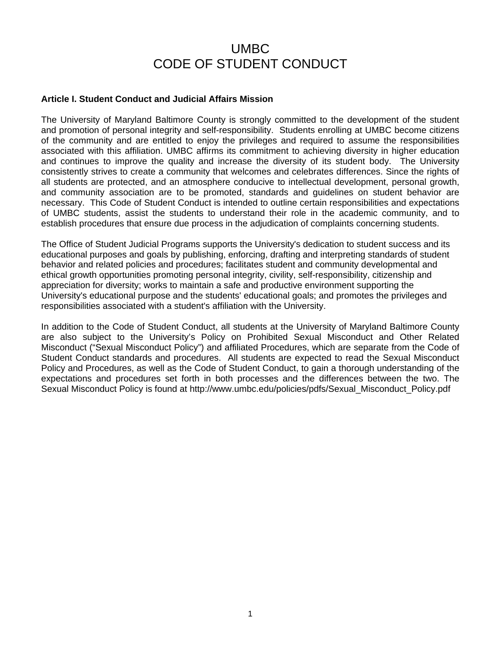# UMBC CODE OF STUDENT CONDUCT

#### **Article I. Student Conduct and Judicial Affairs Mission**

The University of Maryland Baltimore County is strongly committed to the development of the student and promotion of personal integrity and self-responsibility. Students enrolling at UMBC become citizens of the community and are entitled to enjoy the privileges and required to assume the responsibilities associated with this affiliation. UMBC affirms its commitment to achieving diversity in higher education and continues to improve the quality and increase the diversity of its student body. The University consistently strives to create a community that welcomes and celebrates differences. Since the rights of all students are protected, and an atmosphere conducive to intellectual development, personal growth, and community association are to be promoted, standards and guidelines on student behavior are necessary. This Code of Student Conduct is intended to outline certain responsibilities and expectations of UMBC students, assist the students to understand their role in the academic community, and to establish procedures that ensure due process in the adjudication of complaints concerning students.

The Office of Student Judicial Programs supports the University's dedication to student success and its educational purposes and goals by publishing, enforcing, drafting and interpreting standards of student behavior and related policies and procedures; facilitates student and community developmental and ethical growth opportunities promoting personal integrity, civility, self-responsibility, citizenship and appreciation for diversity; works to maintain a safe and productive environment supporting the University's educational purpose and the students' educational goals; and promotes the privileges and responsibilities associated with a student's affiliation with the University.

In addition to the Code of Student Conduct, all students at the University of Maryland Baltimore County are also subject to the University's Policy on Prohibited Sexual Misconduct and Other Related Misconduct ("Sexual Misconduct Policy") and affiliated Procedures, which are separate from the Code of Student Conduct standards and procedures. All students are expected to read the Sexual Misconduct Policy and Procedures, as well as the Code of Student Conduct, to gain a thorough understanding of the expectations and procedures set forth in both processes and the differences between the two. The Sexual Misconduct Policy is found at http://www.umbc.edu/policies/pdfs/Sexual\_Misconduct\_Policy.pdf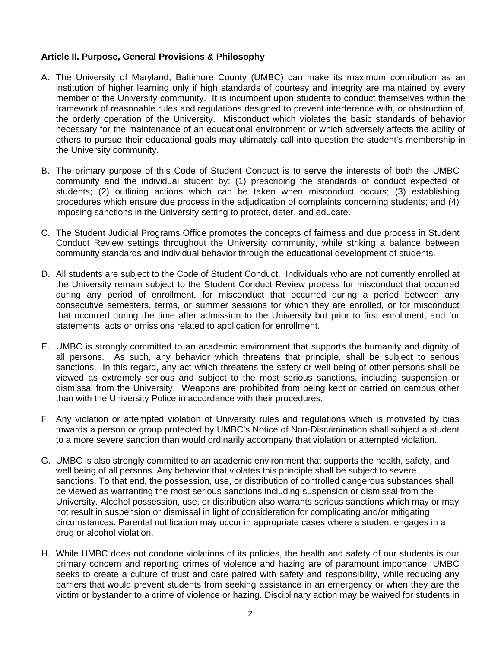#### **Article II. Purpose, General Provisions & Philosophy**

- A. The University of Maryland, Baltimore County (UMBC) can make its maximum contribution as an institution of higher learning only if high standards of courtesy and integrity are maintained by every member of the University community. It is incumbent upon students to conduct themselves within the framework of reasonable rules and regulations designed to prevent interference with, or obstruction of, the orderly operation of the University. Misconduct which violates the basic standards of behavior necessary for the maintenance of an educational environment or which adversely affects the ability of others to pursue their educational goals may ultimately call into question the student's membership in the University community.
- B. The primary purpose of this Code of Student Conduct is to serve the interests of both the UMBC community and the individual student by: (1) prescribing the standards of conduct expected of students; (2) outlining actions which can be taken when misconduct occurs; (3) establishing procedures which ensure due process in the adjudication of complaints concerning students; and (4) imposing sanctions in the University setting to protect, deter, and educate.
- C. The Student Judicial Programs Office promotes the concepts of fairness and due process in Student Conduct Review settings throughout the University community, while striking a balance between community standards and individual behavior through the educational development of students.
- D. All students are subject to the Code of Student Conduct. Individuals who are not currently enrolled at the University remain subject to the Student Conduct Review process for misconduct that occurred during any period of enrollment, for misconduct that occurred during a period between any consecutive semesters, terms, or summer sessions for which they are enrolled, or for misconduct that occurred during the time after admission to the University but prior to first enrollment, and for statements, acts or omissions related to application for enrollment.
- E. UMBC is strongly committed to an academic environment that supports the humanity and dignity of all persons. As such, any behavior which threatens that principle, shall be subject to serious sanctions. In this regard, any act which threatens the safety or well being of other persons shall be viewed as extremely serious and subject to the most serious sanctions, including suspension or dismissal from the University. Weapons are prohibited from being kept or carried on campus other than with the University Police in accordance with their procedures.
- F. Any violation or attempted violation of University rules and regulations which is motivated by bias towards a person or group protected by UMBC's Notice of Non-Discrimination shall subject a student to a more severe sanction than would ordinarily accompany that violation or attempted violation.
- G. UMBC is also strongly committed to an academic environment that supports the health, safety, and well being of all persons. Any behavior that violates this principle shall be subject to severe sanctions. To that end, the possession, use, or distribution of controlled dangerous substances shall be viewed as warranting the most serious sanctions including suspension or dismissal from the University. Alcohol possession, use, or distribution also warrants serious sanctions which may or may not result in suspension or dismissal in light of consideration for complicating and/or mitigating circumstances. Parental notification may occur in appropriate cases where a student engages in a drug or alcohol violation.
- H. While UMBC does not condone violations of its policies, the health and safety of our students is our primary concern and reporting crimes of violence and hazing are of paramount importance. UMBC seeks to create a culture of trust and care paired with safety and responsibility, while reducing any barriers that would prevent students from seeking assistance in an emergency or when they are the victim or bystander to a crime of violence or hazing. Disciplinary action may be waived for students in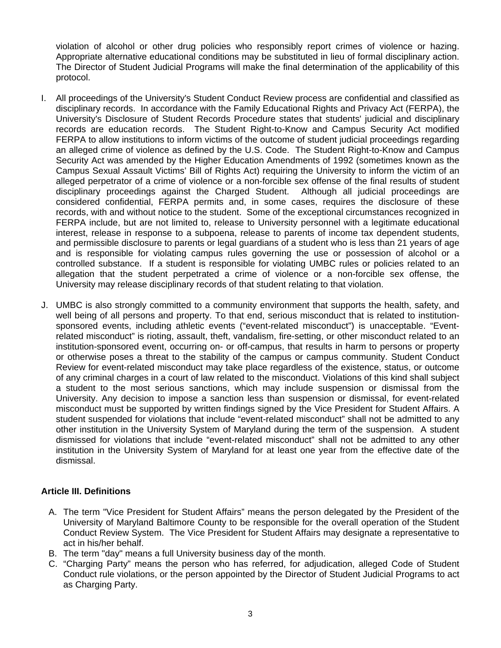violation of alcohol or other drug policies who responsibly report crimes of violence or hazing. Appropriate alternative educational conditions may be substituted in lieu of formal disciplinary action. The Director of Student Judicial Programs will make the final determination of the applicability of this protocol.

- I. All proceedings of the University's Student Conduct Review process are confidential and classified as disciplinary records. In accordance with the Family Educational Rights and Privacy Act (FERPA), the University's Disclosure of Student Records Procedure states that students' judicial and disciplinary records are education records. The Student Right-to-Know and Campus Security Act modified FERPA to allow institutions to inform victims of the outcome of student judicial proceedings regarding an alleged crime of violence as defined by the U.S. Code. The Student Right-to-Know and Campus Security Act was amended by the Higher Education Amendments of 1992 (sometimes known as the Campus Sexual Assault Victims' Bill of Rights Act) requiring the University to inform the victim of an alleged perpetrator of a crime of violence or a non-forcible sex offense of the final results of student disciplinary proceedings against the Charged Student. Although all judicial proceedings are considered confidential, FERPA permits and, in some cases, requires the disclosure of these records, with and without notice to the student. Some of the exceptional circumstances recognized in FERPA include, but are not limited to, release to University personnel with a legitimate educational interest, release in response to a subpoena, release to parents of income tax dependent students, and permissible disclosure to parents or legal guardians of a student who is less than 21 years of age and is responsible for violating campus rules governing the use or possession of alcohol or a controlled substance. If a student is responsible for violating UMBC rules or policies related to an allegation that the student perpetrated a crime of violence or a non-forcible sex offense, the University may release disciplinary records of that student relating to that violation.
- J. UMBC is also strongly committed to a community environment that supports the health, safety, and well being of all persons and property. To that end, serious misconduct that is related to institutionsponsored events, including athletic events ("event-related misconduct") is unacceptable. "Eventrelated misconduct" is rioting, assault, theft, vandalism, fire-setting, or other misconduct related to an institution-sponsored event, occurring on- or off-campus, that results in harm to persons or property or otherwise poses a threat to the stability of the campus or campus community. Student Conduct Review for event-related misconduct may take place regardless of the existence, status, or outcome of any criminal charges in a court of law related to the misconduct. Violations of this kind shall subject a student to the most serious sanctions, which may include suspension or dismissal from the University. Any decision to impose a sanction less than suspension or dismissal, for event-related misconduct must be supported by written findings signed by the Vice President for Student Affairs. A student suspended for violations that include "event-related misconduct" shall not be admitted to any other institution in the University System of Maryland during the term of the suspension. A student dismissed for violations that include "event-related misconduct" shall not be admitted to any other institution in the University System of Maryland for at least one year from the effective date of the dismissal.

#### **Article III. Definitions**

- A. The term "Vice President for Student Affairs" means the person delegated by the President of the University of Maryland Baltimore County to be responsible for the overall operation of the Student Conduct Review System. The Vice President for Student Affairs may designate a representative to act in his/her behalf.
- B. The term "day" means a full University business day of the month.
- C. "Charging Party" means the person who has referred, for adjudication, alleged Code of Student Conduct rule violations, or the person appointed by the Director of Student Judicial Programs to act as Charging Party.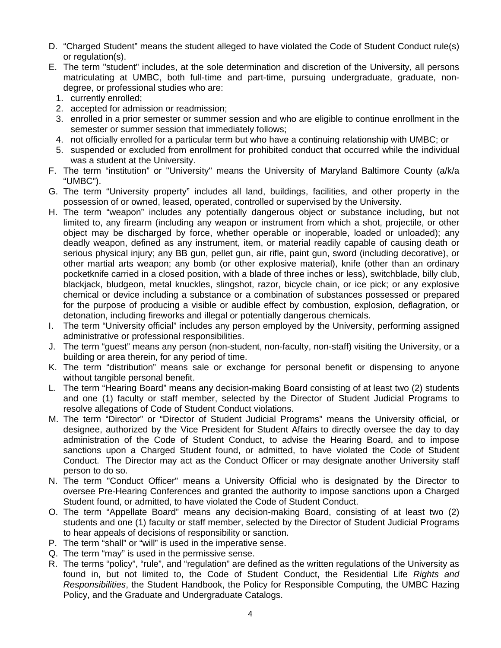- D. "Charged Student" means the student alleged to have violated the Code of Student Conduct rule(s) or regulation(s).
- E. The term "student" includes, at the sole determination and discretion of the University, all persons matriculating at UMBC, both full-time and part-time, pursuing undergraduate, graduate, nondegree, or professional studies who are:
	- 1. currently enrolled;
	- 2. accepted for admission or readmission;
	- 3. enrolled in a prior semester or summer session and who are eligible to continue enrollment in the semester or summer session that immediately follows;
	- 4. not officially enrolled for a particular term but who have a continuing relationship with UMBC; or
	- 5. suspended or excluded from enrollment for prohibited conduct that occurred while the individual was a student at the University.
- F. The term "institution" or "University" means the University of Maryland Baltimore County (a/k/a "UMBC").
- G. The term "University property" includes all land, buildings, facilities, and other property in the possession of or owned, leased, operated, controlled or supervised by the University.
- H. The term "weapon" includes any potentially dangerous object or substance including, but not limited to, any firearm (including any weapon or instrument from which a shot, projectile, or other object may be discharged by force, whether operable or inoperable, loaded or unloaded); any deadly weapon, defined as any instrument, item, or material readily capable of causing death or serious physical injury; any BB gun, pellet gun, air rifle, paint gun, sword (including decorative), or other martial arts weapon; any bomb (or other explosive material), knife (other than an ordinary pocketknife carried in a closed position, with a blade of three inches or less), switchblade, billy club, blackjack, bludgeon, metal knuckles, slingshot, razor, bicycle chain, or ice pick; or any explosive chemical or device including a substance or a combination of substances possessed or prepared for the purpose of producing a visible or audible effect by combustion, explosion, deflagration, or detonation, including fireworks and illegal or potentially dangerous chemicals.
- I. The term "University official" includes any person employed by the University, performing assigned administrative or professional responsibilities.
- J. The term "guest" means any person (non-student, non-faculty, non-staff) visiting the University, or a building or area therein, for any period of time.
- K. The term "distribution" means sale or exchange for personal benefit or dispensing to anyone without tangible personal benefit.
- L. The term "Hearing Board" means any decision-making Board consisting of at least two (2) students and one (1) faculty or staff member, selected by the Director of Student Judicial Programs to resolve allegations of Code of Student Conduct violations.
- M. The term "Director" or "Director of Student Judicial Programs" means the University official, or designee, authorized by the Vice President for Student Affairs to directly oversee the day to day administration of the Code of Student Conduct, to advise the Hearing Board, and to impose sanctions upon a Charged Student found, or admitted, to have violated the Code of Student Conduct. The Director may act as the Conduct Officer or may designate another University staff person to do so.
- N. The term "Conduct Officer" means a University Official who is designated by the Director to oversee Pre-Hearing Conferences and granted the authority to impose sanctions upon a Charged Student found, or admitted, to have violated the Code of Student Conduct.
- O. The term "Appellate Board" means any decision-making Board, consisting of at least two (2) students and one (1) faculty or staff member, selected by the Director of Student Judicial Programs to hear appeals of decisions of responsibility or sanction.
- P. The term "shall" or "will" is used in the imperative sense.
- Q. The term "may" is used in the permissive sense.
- R. The terms "policy", "rule", and "regulation" are defined as the written regulations of the University as found in, but not limited to, the Code of Student Conduct, the Residential Life *Rights and Responsibilities*, the Student Handbook, the Policy for Responsible Computing, the UMBC Hazing Policy, and the Graduate and Undergraduate Catalogs.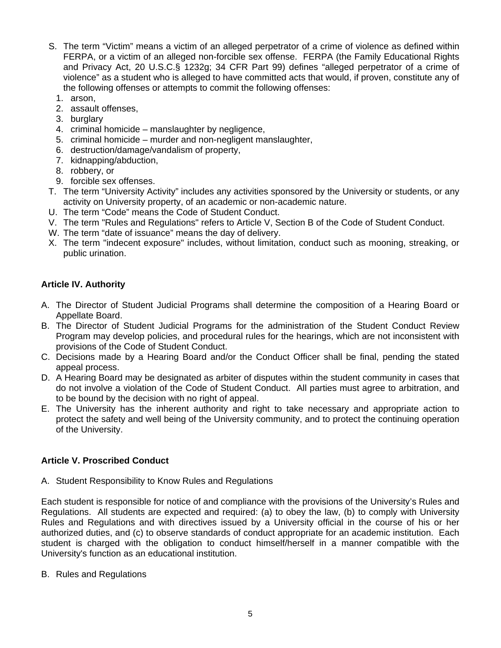- S. The term "Victim" means a victim of an alleged perpetrator of a crime of violence as defined within FERPA, or a victim of an alleged non-forcible sex offense. FERPA (the Family Educational Rights and Privacy Act, 20 U.S.C.§ 1232g; 34 CFR Part 99) defines "alleged perpetrator of a crime of violence" as a student who is alleged to have committed acts that would, if proven, constitute any of the following offenses or attempts to commit the following offenses:
	- 1. arson,
	- 2. assault offenses,
	- 3. burglary
	- 4. criminal homicide manslaughter by negligence,
	- 5. criminal homicide murder and non-negligent manslaughter,
	- 6. destruction/damage/vandalism of property,
	- 7. kidnapping/abduction,
	- 8. robbery, or
	- 9. forcible sex offenses.
- T. The term "University Activity" includes any activities sponsored by the University or students, or any activity on University property, of an academic or non-academic nature.
- U. The term "Code" means the Code of Student Conduct.
- V. The term "Rules and Regulations" refers to Article V, Section B of the Code of Student Conduct.
- W. The term "date of issuance" means the day of delivery.
- X. The term "indecent exposure" includes, without limitation, conduct such as mooning, streaking, or public urination.

### **Article IV. Authority**

- A. The Director of Student Judicial Programs shall determine the composition of a Hearing Board or Appellate Board.
- B. The Director of Student Judicial Programs for the administration of the Student Conduct Review Program may develop policies, and procedural rules for the hearings, which are not inconsistent with provisions of the Code of Student Conduct.
- C. Decisions made by a Hearing Board and/or the Conduct Officer shall be final, pending the stated appeal process.
- D. A Hearing Board may be designated as arbiter of disputes within the student community in cases that do not involve a violation of the Code of Student Conduct. All parties must agree to arbitration, and to be bound by the decision with no right of appeal.
- E. The University has the inherent authority and right to take necessary and appropriate action to protect the safety and well being of the University community, and to protect the continuing operation of the University.

## **Article V. Proscribed Conduct**

A. Student Responsibility to Know Rules and Regulations

Each student is responsible for notice of and compliance with the provisions of the University's Rules and Regulations. All students are expected and required: (a) to obey the law, (b) to comply with University Rules and Regulations and with directives issued by a University official in the course of his or her authorized duties, and (c) to observe standards of conduct appropriate for an academic institution. Each student is charged with the obligation to conduct himself/herself in a manner compatible with the University's function as an educational institution.

B. Rules and Regulations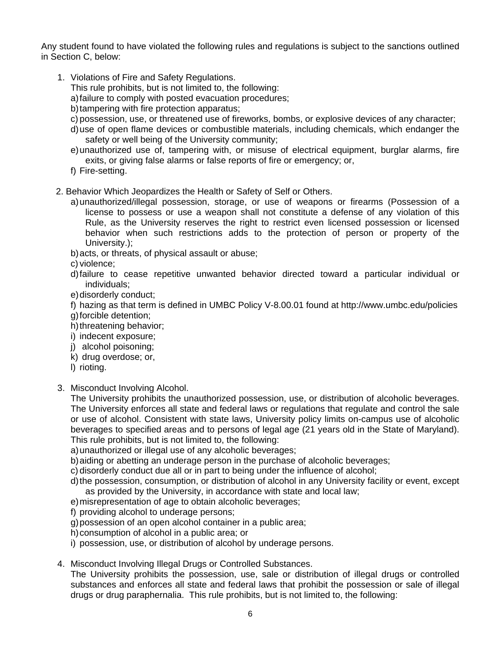Any student found to have violated the following rules and regulations is subject to the sanctions outlined in Section C, below:

- 1. Violations of Fire and Safety Regulations.
	- This rule prohibits, but is not limited to, the following:
	- a) failure to comply with posted evacuation procedures;
	- b) tampering with fire protection apparatus;
	- c) possession, use, or threatened use of fireworks, bombs, or explosive devices of any character;
	- d) use of open flame devices or combustible materials, including chemicals, which endanger the safety or well being of the University community;
	- e) unauthorized use of, tampering with, or misuse of electrical equipment, burglar alarms, fire exits, or giving false alarms or false reports of fire or emergency; or,
	- f) Fire-setting.
- 2. Behavior Which Jeopardizes the Health or Safety of Self or Others.
	- a) unauthorized/illegal possession, storage, or use of weapons or firearms (Possession of a license to possess or use a weapon shall not constitute a defense of any violation of this Rule, as the University reserves the right to restrict even licensed possession or licensed behavior when such restrictions adds to the protection of person or property of the University.);
	- b) acts, or threats, of physical assault or abuse;

c) violence;

- d) failure to cease repetitive unwanted behavior directed toward a particular individual or individuals;
- e) disorderly conduct;
- f) hazing as that term is defined in UMBC Policy V-8.00.01 found at http://www.umbc.edu/policies
- g) forcible detention;
- h) threatening behavior;
- i) indecent exposure;
- j) alcohol poisoning;
- k) drug overdose; or,
- l) rioting.
- 3. Misconduct Involving Alcohol.

The University prohibits the unauthorized possession, use, or distribution of alcoholic beverages. The University enforces all state and federal laws or regulations that regulate and control the sale or use of alcohol. Consistent with state laws, University policy limits on-campus use of alcoholic beverages to specified areas and to persons of legal age (21 years old in the State of Maryland). This rule prohibits, but is not limited to, the following:

a) unauthorized or illegal use of any alcoholic beverages;

- b) aiding or abetting an underage person in the purchase of alcoholic beverages;
- c) disorderly conduct due all or in part to being under the influence of alcohol;
- d) the possession, consumption, or distribution of alcohol in any University facility or event, except as provided by the University, in accordance with state and local law;
- e) misrepresentation of age to obtain alcoholic beverages;
- f) providing alcohol to underage persons;
- g) possession of an open alcohol container in a public area;
- h) consumption of alcohol in a public area; or
- i) possession, use, or distribution of alcohol by underage persons.
- 4. Misconduct Involving Illegal Drugs or Controlled Substances.

The University prohibits the possession, use, sale or distribution of illegal drugs or controlled substances and enforces all state and federal laws that prohibit the possession or sale of illegal drugs or drug paraphernalia. This rule prohibits, but is not limited to, the following: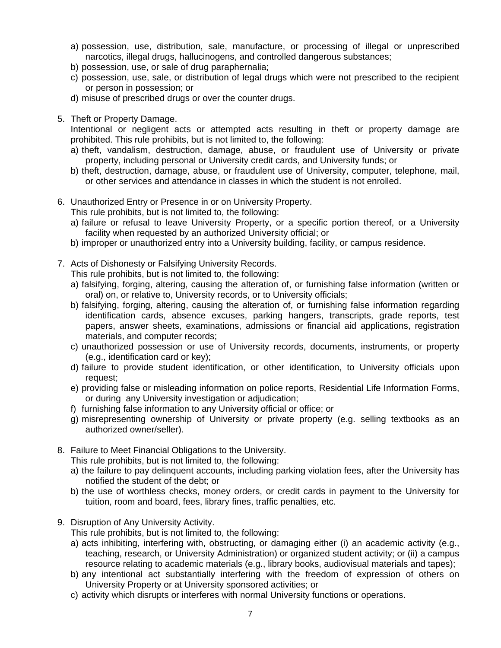- a) possession, use, distribution, sale, manufacture, or processing of illegal or unprescribed narcotics, illegal drugs, hallucinogens, and controlled dangerous substances;
- b) possession, use, or sale of drug paraphernalia;
- c) possession, use, sale, or distribution of legal drugs which were not prescribed to the recipient or person in possession; or
- d) misuse of prescribed drugs or over the counter drugs.
- 5. Theft or Property Damage.

Intentional or negligent acts or attempted acts resulting in theft or property damage are prohibited. This rule prohibits, but is not limited to, the following:

- a) theft, vandalism, destruction, damage, abuse, or fraudulent use of University or private property, including personal or University credit cards, and University funds; or
- b) theft, destruction, damage, abuse, or fraudulent use of University, computer, telephone, mail, or other services and attendance in classes in which the student is not enrolled.
- 6. Unauthorized Entry or Presence in or on University Property.
	- This rule prohibits, but is not limited to, the following:
	- a) failure or refusal to leave University Property, or a specific portion thereof, or a University facility when requested by an authorized University official; or
	- b) improper or unauthorized entry into a University building, facility, or campus residence.
- 7. Acts of Dishonesty or Falsifying University Records.

This rule prohibits, but is not limited to, the following:

- a) falsifying, forging, altering, causing the alteration of, or furnishing false information (written or oral) on, or relative to, University records, or to University officials;
- b) falsifying, forging, altering, causing the alteration of, or furnishing false information regarding identification cards, absence excuses, parking hangers, transcripts, grade reports, test papers, answer sheets, examinations, admissions or financial aid applications, registration materials, and computer records;
- c) unauthorized possession or use of University records, documents, instruments, or property (e.g., identification card or key);
- d) failure to provide student identification, or other identification, to University officials upon request;
- e) providing false or misleading information on police reports, Residential Life Information Forms, or during any University investigation or adjudication;
- f) furnishing false information to any University official or office; or
- g) misrepresenting ownership of University or private property (e.g. selling textbooks as an authorized owner/seller).
- 8. Failure to Meet Financial Obligations to the University.

This rule prohibits, but is not limited to, the following:

- a) the failure to pay delinquent accounts, including parking violation fees, after the University has notified the student of the debt; or
- b) the use of worthless checks, money orders, or credit cards in payment to the University for tuition, room and board, fees, library fines, traffic penalties, etc.
- 9. Disruption of Any University Activity.

This rule prohibits, but is not limited to, the following:

- a) acts inhibiting, interfering with, obstructing, or damaging either (i) an academic activity (e.g., teaching, research, or University Administration) or organized student activity; or (ii) a campus resource relating to academic materials (e.g., library books, audiovisual materials and tapes);
- b) any intentional act substantially interfering with the freedom of expression of others on University Property or at University sponsored activities; or
- c) activity which disrupts or interferes with normal University functions or operations.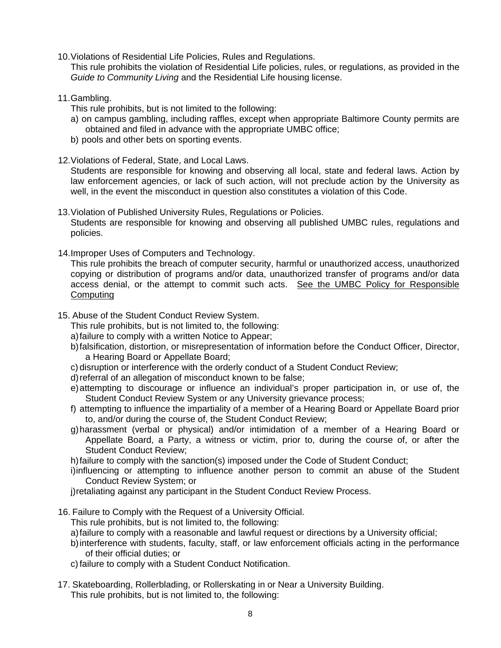10. Violations of Residential Life Policies, Rules and Regulations.

This rule prohibits the violation of Residential Life policies, rules, or regulations, as provided in the *Guide to Community Living* and the Residential Life housing license.

- 11. Gambling.
	- This rule prohibits, but is not limited to the following:
	- a) on campus gambling, including raffles, except when appropriate Baltimore County permits are obtained and filed in advance with the appropriate UMBC office;
	- b) pools and other bets on sporting events.
- 12. Violations of Federal, State, and Local Laws.

Students are responsible for knowing and observing all local, state and federal laws. Action by law enforcement agencies, or lack of such action, will not preclude action by the University as well, in the event the misconduct in question also constitutes a violation of this Code.

- 13. Violation of Published University Rules, Regulations or Policies. Students are responsible for knowing and observing all published UMBC rules, regulations and policies.
- 14. Improper Uses of Computers and Technology.

This rule prohibits the breach of computer security, harmful or unauthorized access, unauthorized copying or distribution of programs and/or data, unauthorized transfer of programs and/or data access denial, or the attempt to commit such acts. See the UMBC Policy for Responsible Computing

15. Abuse of the Student Conduct Review System.

This rule prohibits, but is not limited to, the following:

- a) failure to comply with a written Notice to Appear;
- b) falsification, distortion, or misrepresentation of information before the Conduct Officer, Director, a Hearing Board or Appellate Board;
- c) disruption or interference with the orderly conduct of a Student Conduct Review;
- d) referral of an allegation of misconduct known to be false;
- e) attempting to discourage or influence an individual's proper participation in, or use of, the Student Conduct Review System or any University grievance process;
- f) attempting to influence the impartiality of a member of a Hearing Board or Appellate Board prior to, and/or during the course of, the Student Conduct Review;
- g) harassment (verbal or physical) and/or intimidation of a member of a Hearing Board or Appellate Board, a Party, a witness or victim, prior to, during the course of, or after the Student Conduct Review;

h) failure to comply with the sanction(s) imposed under the Code of Student Conduct;

- i) influencing or attempting to influence another person to commit an abuse of the Student Conduct Review System; or
- j) retaliating against any participant in the Student Conduct Review Process.
- 16. Failure to Comply with the Request of a University Official.
	- This rule prohibits, but is not limited to, the following:
	- a) failure to comply with a reasonable and lawful request or directions by a University official;
	- b) interference with students, faculty, staff, or law enforcement officials acting in the performance of their official duties; or
	- c) failure to comply with a Student Conduct Notification.
- 17. Skateboarding, Rollerblading, or Rollerskating in or Near a University Building. This rule prohibits, but is not limited to, the following: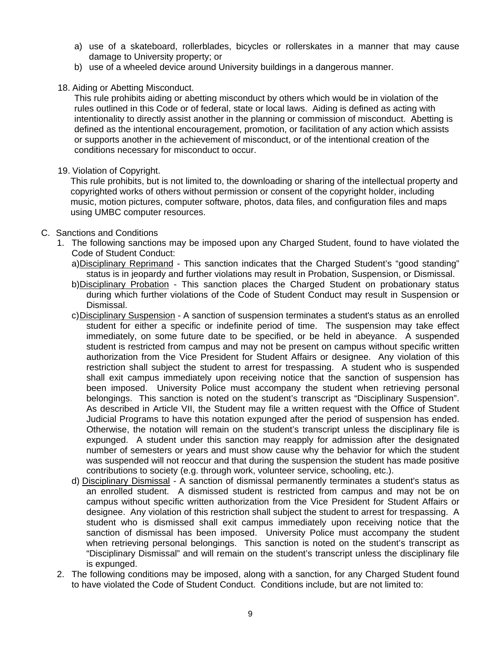- a) use of a skateboard, rollerblades, bicycles or rollerskates in a manner that may cause damage to University property; or
- b) use of a wheeled device around University buildings in a dangerous manner.
- 18. Aiding or Abetting Misconduct.

This rule prohibits aiding or abetting misconduct by others which would be in violation of the rules outlined in this Code or of federal, state or local laws. Aiding is defined as acting with intentionality to directly assist another in the planning or commission of misconduct. Abetting is defined as the intentional encouragement, promotion, or facilitation of any action which assists or supports another in the achievement of misconduct, or of the intentional creation of the conditions necessary for misconduct to occur.

19. Violation of Copyright.

This rule prohibits, but is not limited to, the downloading or sharing of the intellectual property and copyrighted works of others without permission or consent of the copyright holder, including music, motion pictures, computer software, photos, data files, and configuration files and maps using UMBC computer resources.

- C. Sanctions and Conditions
	- 1. The following sanctions may be imposed upon any Charged Student, found to have violated the Code of Student Conduct:
		- a)Disciplinary Reprimand This sanction indicates that the Charged Student's "good standing" status is in jeopardy and further violations may result in Probation, Suspension, or Dismissal.
		- b)Disciplinary Probation This sanction places the Charged Student on probationary status during which further violations of the Code of Student Conduct may result in Suspension or Dismissal.
		- c) Disciplinary Suspension A sanction of suspension terminates a student's status as an enrolled student for either a specific or indefinite period of time. The suspension may take effect immediately, on some future date to be specified, or be held in abeyance. A suspended student is restricted from campus and may not be present on campus without specific written authorization from the Vice President for Student Affairs or designee. Any violation of this restriction shall subject the student to arrest for trespassing. A student who is suspended shall exit campus immediately upon receiving notice that the sanction of suspension has been imposed. University Police must accompany the student when retrieving personal belongings. This sanction is noted on the student's transcript as "Disciplinary Suspension". As described in Article VII, the Student may file a written request with the Office of Student Judicial Programs to have this notation expunged after the period of suspension has ended. Otherwise, the notation will remain on the student's transcript unless the disciplinary file is expunged. A student under this sanction may reapply for admission after the designated number of semesters or years and must show cause why the behavior for which the student was suspended will not reoccur and that during the suspension the student has made positive contributions to society (e.g. through work, volunteer service, schooling, etc.).
		- d) Disciplinary Dismissal A sanction of dismissal permanently terminates a student's status as an enrolled student. A dismissed student is restricted from campus and may not be on campus without specific written authorization from the Vice President for Student Affairs or designee. Any violation of this restriction shall subject the student to arrest for trespassing. A student who is dismissed shall exit campus immediately upon receiving notice that the sanction of dismissal has been imposed. University Police must accompany the student when retrieving personal belongings. This sanction is noted on the student's transcript as "Disciplinary Dismissal" and will remain on the student's transcript unless the disciplinary file is expunged.
	- 2. The following conditions may be imposed, along with a sanction, for any Charged Student found to have violated the Code of Student Conduct. Conditions include, but are not limited to: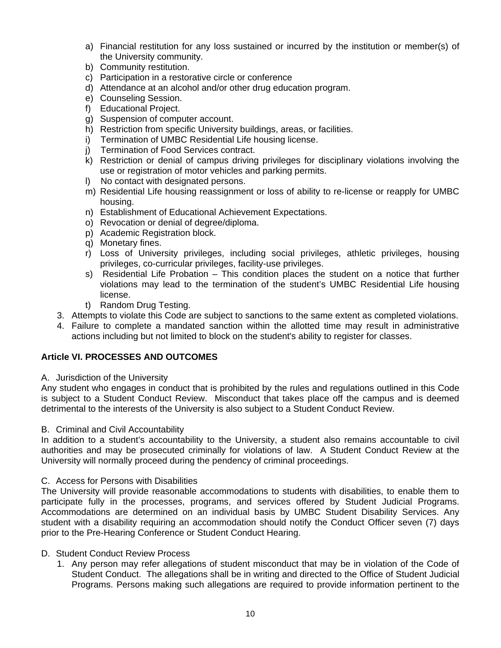- a) Financial restitution for any loss sustained or incurred by the institution or member(s) of the University community.
- b) Community restitution.
- c) Participation in a restorative circle or conference
- d) Attendance at an alcohol and/or other drug education program.
- e) Counseling Session.
- f) Educational Project.
- g) Suspension of computer account.
- h) Restriction from specific University buildings, areas, or facilities.
- i) Termination of UMBC Residential Life housing license.
- j) Termination of Food Services contract.
- k) Restriction or denial of campus driving privileges for disciplinary violations involving the use or registration of motor vehicles and parking permits.
- l) No contact with designated persons.
- m) Residential Life housing reassignment or loss of ability to re-license or reapply for UMBC housing.
- n) Establishment of Educational Achievement Expectations.
- o) Revocation or denial of degree/diploma.
- p) Academic Registration block.
- q) Monetary fines.
- r) Loss of University privileges, including social privileges, athletic privileges, housing privileges, co-curricular privileges, facility-use privileges.
- s) Residential Life Probation This condition places the student on a notice that further violations may lead to the termination of the student's UMBC Residential Life housing license.
- t) Random Drug Testing.
- 3. Attempts to violate this Code are subject to sanctions to the same extent as completed violations.
- 4. Failure to complete a mandated sanction within the allotted time may result in administrative actions including but not limited to block on the student's ability to register for classes.

## **Article VI. PROCESSES AND OUTCOMES**

A. Jurisdiction of the University

Any student who engages in conduct that is prohibited by the rules and regulations outlined in this Code is subject to a Student Conduct Review. Misconduct that takes place off the campus and is deemed detrimental to the interests of the University is also subject to a Student Conduct Review.

#### B. Criminal and Civil Accountability

In addition to a student's accountability to the University, a student also remains accountable to civil authorities and may be prosecuted criminally for violations of law. A Student Conduct Review at the University will normally proceed during the pendency of criminal proceedings.

#### C. Access for Persons with Disabilities

The University will provide reasonable accommodations to students with disabilities, to enable them to participate fully in the processes, programs, and services offered by Student Judicial Programs. Accommodations are determined on an individual basis by UMBC Student Disability Services. Any student with a disability requiring an accommodation should notify the Conduct Officer seven (7) days prior to the Pre-Hearing Conference or Student Conduct Hearing.

#### D. Student Conduct Review Process

1. Any person may refer allegations of student misconduct that may be in violation of the Code of Student Conduct. The allegations shall be in writing and directed to the Office of Student Judicial Programs. Persons making such allegations are required to provide information pertinent to the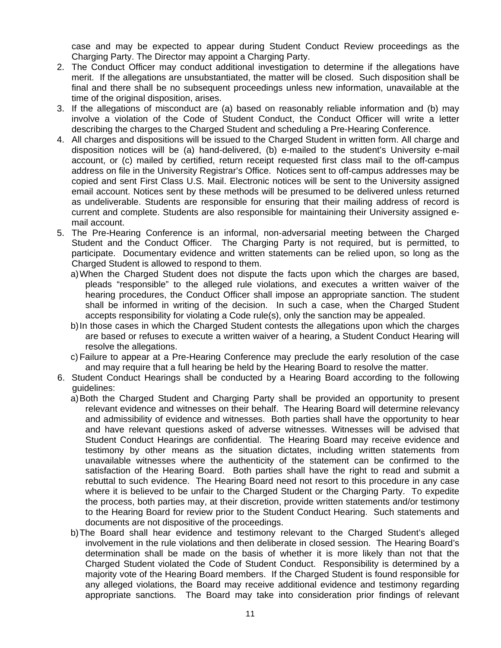case and may be expected to appear during Student Conduct Review proceedings as the Charging Party. The Director may appoint a Charging Party.

- 2. The Conduct Officer may conduct additional investigation to determine if the allegations have merit. If the allegations are unsubstantiated, the matter will be closed. Such disposition shall be final and there shall be no subsequent proceedings unless new information, unavailable at the time of the original disposition, arises.
- 3. If the allegations of misconduct are (a) based on reasonably reliable information and (b) may involve a violation of the Code of Student Conduct, the Conduct Officer will write a letter describing the charges to the Charged Student and scheduling a Pre-Hearing Conference.
- 4. All charges and dispositions will be issued to the Charged Student in written form. All charge and disposition notices will be (a) hand-delivered, (b) e-mailed to the student's University e-mail account, or (c) mailed by certified, return receipt requested first class mail to the off-campus address on file in the University Registrar's Office. Notices sent to off-campus addresses may be copied and sent First Class U.S. Mail. Electronic notices will be sent to the University assigned email account. Notices sent by these methods will be presumed to be delivered unless returned as undeliverable. Students are responsible for ensuring that their mailing address of record is current and complete. Students are also responsible for maintaining their University assigned email account.
- 5. The Pre-Hearing Conference is an informal, non-adversarial meeting between the Charged Student and the Conduct Officer. The Charging Party is not required, but is permitted, to participate. Documentary evidence and written statements can be relied upon, so long as the Charged Student is allowed to respond to them.
	- a) When the Charged Student does not dispute the facts upon which the charges are based, pleads "responsible" to the alleged rule violations, and executes a written waiver of the hearing procedures, the Conduct Officer shall impose an appropriate sanction. The student shall be informed in writing of the decision. In such a case, when the Charged Student accepts responsibility for violating a Code rule(s), only the sanction may be appealed.
	- b) In those cases in which the Charged Student contests the allegations upon which the charges are based or refuses to execute a written waiver of a hearing, a Student Conduct Hearing will resolve the allegations.
	- c) Failure to appear at a Pre-Hearing Conference may preclude the early resolution of the case and may require that a full hearing be held by the Hearing Board to resolve the matter.
- 6. Student Conduct Hearings shall be conducted by a Hearing Board according to the following guidelines:
	- a) Both the Charged Student and Charging Party shall be provided an opportunity to present relevant evidence and witnesses on their behalf. The Hearing Board will determine relevancy and admissibility of evidence and witnesses. Both parties shall have the opportunity to hear and have relevant questions asked of adverse witnesses. Witnesses will be advised that Student Conduct Hearings are confidential. The Hearing Board may receive evidence and testimony by other means as the situation dictates, including written statements from unavailable witnesses where the authenticity of the statement can be confirmed to the satisfaction of the Hearing Board. Both parties shall have the right to read and submit a rebuttal to such evidence. The Hearing Board need not resort to this procedure in any case where it is believed to be unfair to the Charged Student or the Charging Party. To expedite the process, both parties may, at their discretion, provide written statements and/or testimony to the Hearing Board for review prior to the Student Conduct Hearing. Such statements and documents are not dispositive of the proceedings.
	- b) The Board shall hear evidence and testimony relevant to the Charged Student's alleged involvement in the rule violations and then deliberate in closed session. The Hearing Board's determination shall be made on the basis of whether it is more likely than not that the Charged Student violated the Code of Student Conduct. Responsibility is determined by a majority vote of the Hearing Board members. If the Charged Student is found responsible for any alleged violations, the Board may receive additional evidence and testimony regarding appropriate sanctions. The Board may take into consideration prior findings of relevant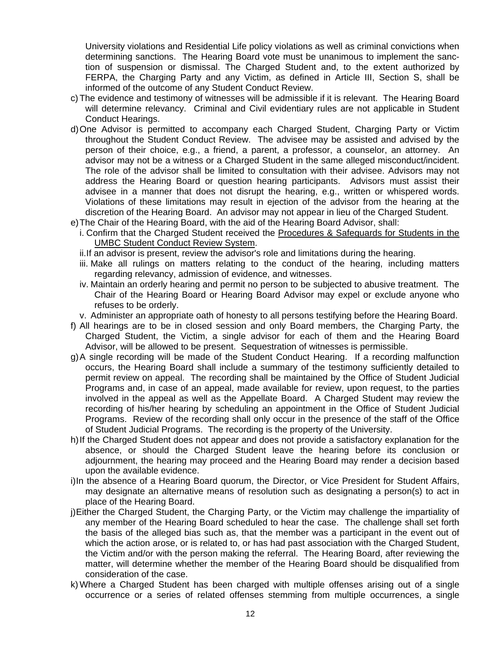University violations and Residential Life policy violations as well as criminal convictions when determining sanctions. The Hearing Board vote must be unanimous to implement the sanction of suspension or dismissal. The Charged Student and, to the extent authorized by FERPA, the Charging Party and any Victim, as defined in Article III, Section S, shall be informed of the outcome of any Student Conduct Review.

- c) The evidence and testimony of witnesses will be admissible if it is relevant. The Hearing Board will determine relevancy. Criminal and Civil evidentiary rules are not applicable in Student Conduct Hearings.
- d) One Advisor is permitted to accompany each Charged Student, Charging Party or Victim throughout the Student Conduct Review. The advisee may be assisted and advised by the person of their choice, e.g., a friend, a parent, a professor, a counselor, an attorney. An advisor may not be a witness or a Charged Student in the same alleged misconduct/incident. The role of the advisor shall be limited to consultation with their advisee. Advisors may not address the Hearing Board or question hearing participants. Advisors must assist their advisee in a manner that does not disrupt the hearing, e.g., written or whispered words. Violations of these limitations may result in ejection of the advisor from the hearing at the discretion of the Hearing Board. An advisor may not appear in lieu of the Charged Student.
- e) The Chair of the Hearing Board, with the aid of the Hearing Board Advisor, shall:
	- i. Confirm that the Charged Student received the Procedures & Safeguards for Students in the UMBC Student Conduct Review System.
	- ii. If an advisor is present, review the advisor's role and limitations during the hearing.
	- iii. Make all rulings on matters relating to the conduct of the hearing, including matters regarding relevancy, admission of evidence, and witnesses.
	- iv. Maintain an orderly hearing and permit no person to be subjected to abusive treatment. The Chair of the Hearing Board or Hearing Board Advisor may expel or exclude anyone who refuses to be orderly.
	- v. Administer an appropriate oath of honesty to all persons testifying before the Hearing Board.
- f) All hearings are to be in closed session and only Board members, the Charging Party, the Charged Student, the Victim, a single advisor for each of them and the Hearing Board Advisor, will be allowed to be present. Sequestration of witnesses is permissible.
- g) A single recording will be made of the Student Conduct Hearing. If a recording malfunction occurs, the Hearing Board shall include a summary of the testimony sufficiently detailed to permit review on appeal. The recording shall be maintained by the Office of Student Judicial Programs and, in case of an appeal, made available for review, upon request, to the parties involved in the appeal as well as the Appellate Board. A Charged Student may review the recording of his/her hearing by scheduling an appointment in the Office of Student Judicial Programs. Review of the recording shall only occur in the presence of the staff of the Office of Student Judicial Programs. The recording is the property of the University.
- h) If the Charged Student does not appear and does not provide a satisfactory explanation for the absence, or should the Charged Student leave the hearing before its conclusion or adjournment, the hearing may proceed and the Hearing Board may render a decision based upon the available evidence.
- i) In the absence of a Hearing Board quorum, the Director, or Vice President for Student Affairs, may designate an alternative means of resolution such as designating a person(s) to act in place of the Hearing Board.
- j) Either the Charged Student, the Charging Party, or the Victim may challenge the impartiality of any member of the Hearing Board scheduled to hear the case. The challenge shall set forth the basis of the alleged bias such as, that the member was a participant in the event out of which the action arose, or is related to, or has had past association with the Charged Student, the Victim and/or with the person making the referral. The Hearing Board, after reviewing the matter, will determine whether the member of the Hearing Board should be disqualified from consideration of the case.
- k) Where a Charged Student has been charged with multiple offenses arising out of a single occurrence or a series of related offenses stemming from multiple occurrences, a single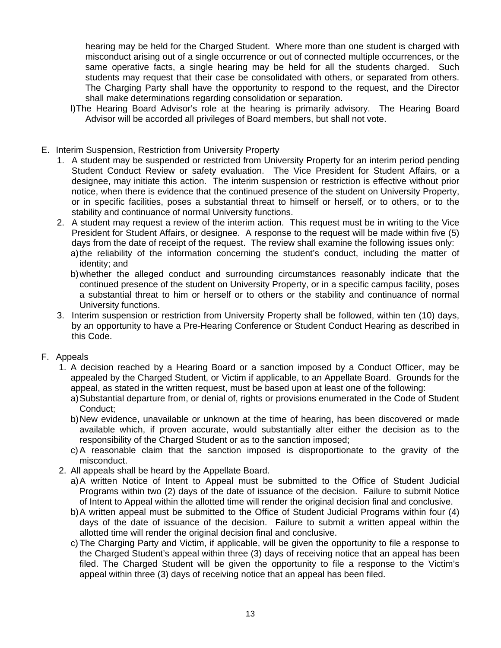hearing may be held for the Charged Student. Where more than one student is charged with misconduct arising out of a single occurrence or out of connected multiple occurrences, or the same operative facts, a single hearing may be held for all the students charged. Such students may request that their case be consolidated with others, or separated from others. The Charging Party shall have the opportunity to respond to the request, and the Director shall make determinations regarding consolidation or separation.

- l) The Hearing Board Advisor's role at the hearing is primarily advisory. The Hearing Board Advisor will be accorded all privileges of Board members, but shall not vote.
- E. Interim Suspension, Restriction from University Property
	- 1. A student may be suspended or restricted from University Property for an interim period pending Student Conduct Review or safety evaluation. The Vice President for Student Affairs, or a designee, may initiate this action. The interim suspension or restriction is effective without prior notice, when there is evidence that the continued presence of the student on University Property, or in specific facilities, poses a substantial threat to himself or herself, or to others, or to the stability and continuance of normal University functions.
	- 2. A student may request a review of the interim action. This request must be in writing to the Vice President for Student Affairs, or designee. A response to the request will be made within five (5) days from the date of receipt of the request. The review shall examine the following issues only: a) the reliability of the information concerning the student's conduct, including the matter of identity; and
		- b) whether the alleged conduct and surrounding circumstances reasonably indicate that the continued presence of the student on University Property, or in a specific campus facility, poses a substantial threat to him or herself or to others or the stability and continuance of normal University functions.
	- 3. Interim suspension or restriction from University Property shall be followed, within ten (10) days, by an opportunity to have a Pre-Hearing Conference or Student Conduct Hearing as described in this Code.

#### F. Appeals

- 1. A decision reached by a Hearing Board or a sanction imposed by a Conduct Officer, may be appealed by the Charged Student, or Victim if applicable, to an Appellate Board. Grounds for the appeal, as stated in the written request, must be based upon at least one of the following:
	- a) Substantial departure from, or denial of, rights or provisions enumerated in the Code of Student Conduct;
	- b) New evidence, unavailable or unknown at the time of hearing, has been discovered or made available which, if proven accurate, would substantially alter either the decision as to the responsibility of the Charged Student or as to the sanction imposed;
	- c) A reasonable claim that the sanction imposed is disproportionate to the gravity of the misconduct.
- 2. All appeals shall be heard by the Appellate Board.
	- a) A written Notice of Intent to Appeal must be submitted to the Office of Student Judicial Programs within two (2) days of the date of issuance of the decision. Failure to submit Notice of Intent to Appeal within the allotted time will render the original decision final and conclusive.
	- b) A written appeal must be submitted to the Office of Student Judicial Programs within four (4) days of the date of issuance of the decision. Failure to submit a written appeal within the allotted time will render the original decision final and conclusive.
	- c) The Charging Party and Victim, if applicable, will be given the opportunity to file a response to the Charged Student's appeal within three (3) days of receiving notice that an appeal has been filed. The Charged Student will be given the opportunity to file a response to the Victim's appeal within three (3) days of receiving notice that an appeal has been filed.